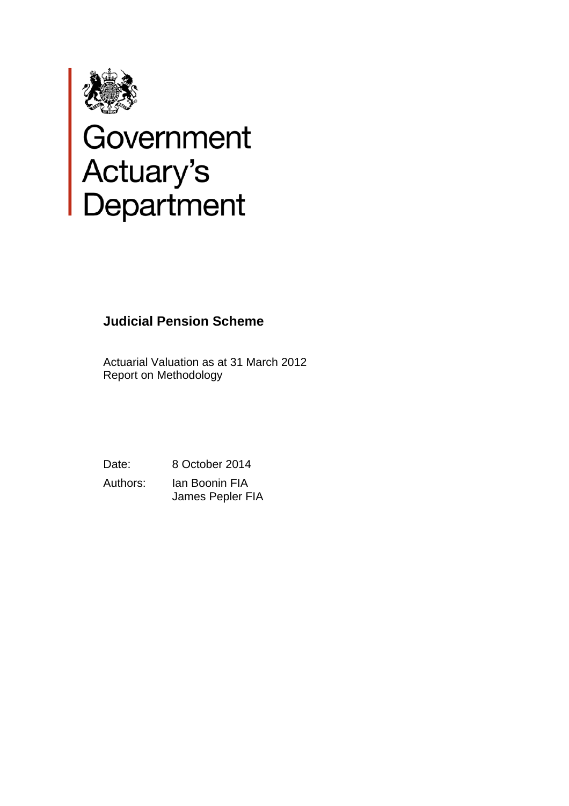

# Government<br>Actuary's<br>Department

# **Judicial Pension Scheme**

Actuarial Valuation as at 31 March 2012 Report on Methodology

Date: 8 October 2014

Authors: Ian Boonin FIA James Pepler FIA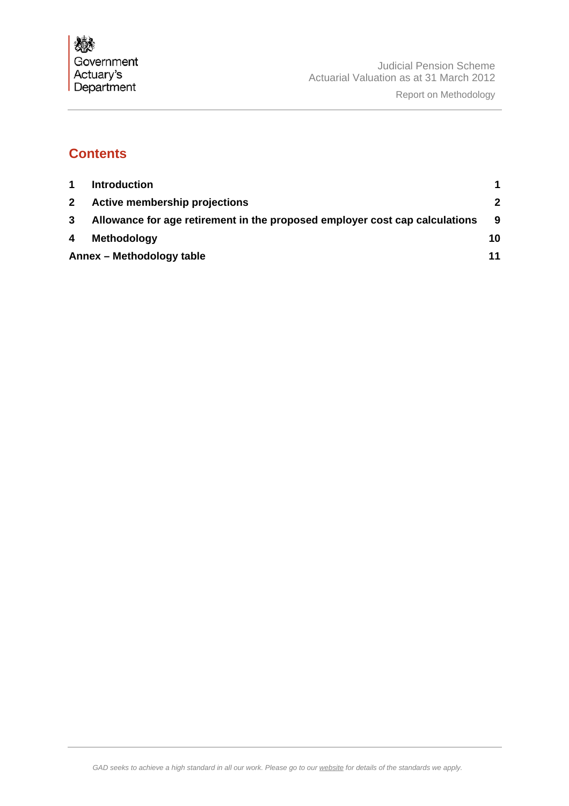

# **Contents**

|                | <b>Introduction</b>                                                         |             |
|----------------|-----------------------------------------------------------------------------|-------------|
| 2 <sup>1</sup> | Active membership projections                                               | $\mathbf 2$ |
| 3              | Allowance for age retirement in the proposed employer cost cap calculations | -9          |
| 4              | Methodology                                                                 | 10          |
|                | Annex - Methodology table                                                   | 11          |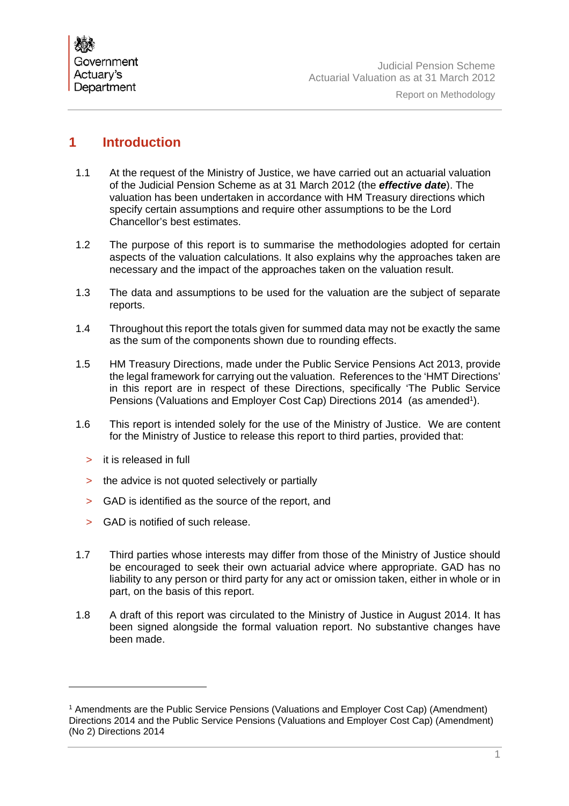

# **1 Introduction**

- 1.1 At the request of the Ministry of Justice, we have carried out an actuarial valuation of the Judicial Pension Scheme as at 31 March 2012 (the *effective date*). The valuation has been undertaken in accordance with HM Treasury directions which specify certain assumptions and require other assumptions to be the Lord Chancellor's best estimates.
- 1.2 The purpose of this report is to summarise the methodologies adopted for certain aspects of the valuation calculations. It also explains why the approaches taken are necessary and the impact of the approaches taken on the valuation result.
- 1.3 The data and assumptions to be used for the valuation are the subject of separate reports.
- 1.4 Throughout this report the totals given for summed data may not be exactly the same as the sum of the components shown due to rounding effects.
- 1.5 HM Treasury Directions, made under the Public Service Pensions Act 2013, provide the legal framework for carrying out the valuation. References to the 'HMT Directions' in this report are in respect of these Directions, specifically 'The Public Service Pensions (Valuations and Employer Cost Cap) Directions 2014 (as amended<sup>1</sup>).
- 1.6 This report is intended solely for the use of the Ministry of Justice. We are content for the Ministry of Justice to release this report to third parties, provided that:
	- > it is released in full

- > the advice is not quoted selectively or partially
- > GAD is identified as the source of the report, and
- > GAD is notified of such release.
- 1.7 Third parties whose interests may differ from those of the Ministry of Justice should be encouraged to seek their own actuarial advice where appropriate. GAD has no liability to any person or third party for any act or omission taken, either in whole or in part, on the basis of this report.
- 1.8 A draft of this report was circulated to the Ministry of Justice in August 2014. It has been signed alongside the formal valuation report. No substantive changes have been made.

<sup>1</sup> Amendments are the Public Service Pensions (Valuations and Employer Cost Cap) (Amendment) Directions 2014 and the Public Service Pensions (Valuations and Employer Cost Cap) (Amendment) (No 2) Directions 2014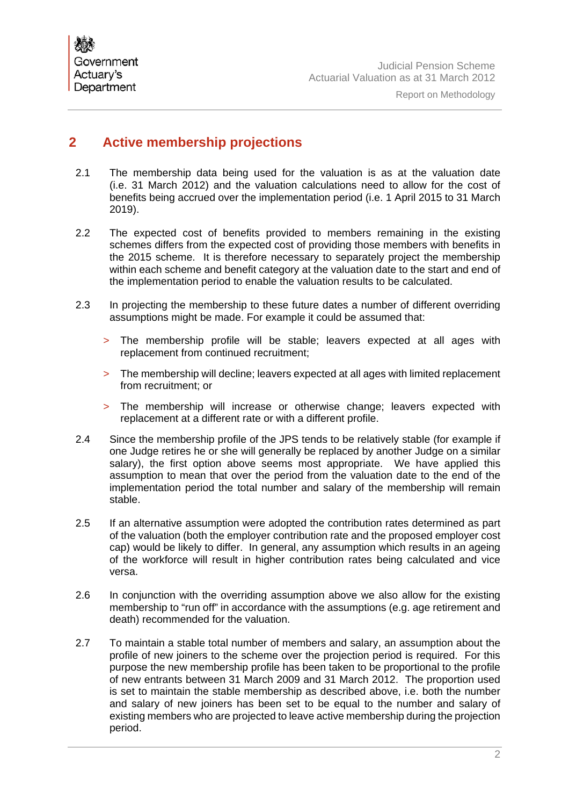

# **2 Active membership projections**

- 2.1 The membership data being used for the valuation is as at the valuation date (i.e. 31 March 2012) and the valuation calculations need to allow for the cost of benefits being accrued over the implementation period (i.e. 1 April 2015 to 31 March 2019).
- 2.2 The expected cost of benefits provided to members remaining in the existing schemes differs from the expected cost of providing those members with benefits in the 2015 scheme. It is therefore necessary to separately project the membership within each scheme and benefit category at the valuation date to the start and end of the implementation period to enable the valuation results to be calculated.
- 2.3 In projecting the membership to these future dates a number of different overriding assumptions might be made. For example it could be assumed that:
	- > The membership profile will be stable; leavers expected at all ages with replacement from continued recruitment;
	- > The membership will decline; leavers expected at all ages with limited replacement from recruitment; or
	- > The membership will increase or otherwise change; leavers expected with replacement at a different rate or with a different profile.
- 2.4 Since the membership profile of the JPS tends to be relatively stable (for example if one Judge retires he or she will generally be replaced by another Judge on a similar salary), the first option above seems most appropriate. We have applied this assumption to mean that over the period from the valuation date to the end of the implementation period the total number and salary of the membership will remain stable.
- 2.5 If an alternative assumption were adopted the contribution rates determined as part of the valuation (both the employer contribution rate and the proposed employer cost cap) would be likely to differ. In general, any assumption which results in an ageing of the workforce will result in higher contribution rates being calculated and vice versa.
- 2.6 In conjunction with the overriding assumption above we also allow for the existing membership to "run off" in accordance with the assumptions (e.g. age retirement and death) recommended for the valuation.
- 2.7 To maintain a stable total number of members and salary, an assumption about the profile of new joiners to the scheme over the projection period is required. For this purpose the new membership profile has been taken to be proportional to the profile of new entrants between 31 March 2009 and 31 March 2012. The proportion used is set to maintain the stable membership as described above, i.e. both the number and salary of new joiners has been set to be equal to the number and salary of existing members who are projected to leave active membership during the projection period.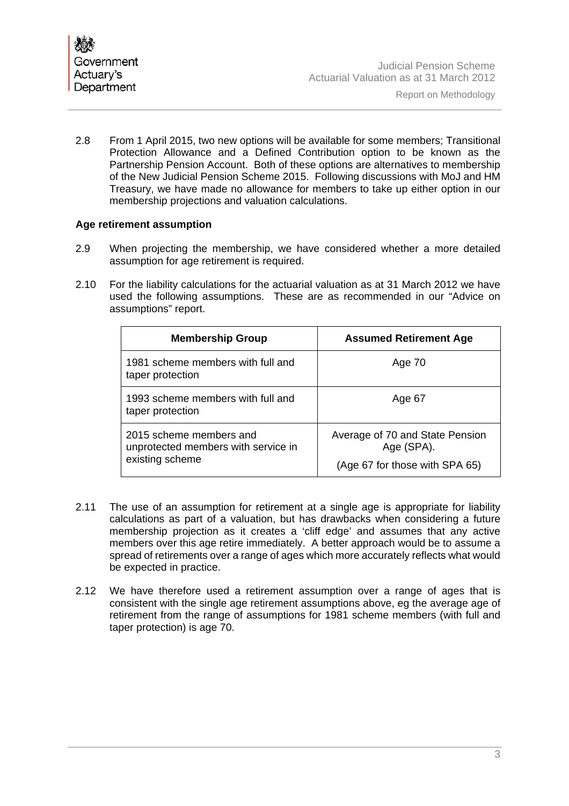

2.8 From 1 April 2015, two new options will be available for some members; Transitional Protection Allowance and a Defined Contribution option to be known as the Partnership Pension Account. Both of these options are alternatives to membership of the New Judicial Pension Scheme 2015. Following discussions with MoJ and HM Treasury, we have made no allowance for members to take up either option in our membership projections and valuation calculations.

#### **Age retirement assumption**

- 2.9 When projecting the membership, we have considered whether a more detailed assumption for age retirement is required.
- 2.10 For the liability calculations for the actuarial valuation as at 31 March 2012 we have used the following assumptions. These are as recommended in our "Advice on assumptions" report.

| <b>Membership Group</b>                                                           | <b>Assumed Retirement Age</b>                                                   |
|-----------------------------------------------------------------------------------|---------------------------------------------------------------------------------|
| 1981 scheme members with full and<br>taper protection                             | Age 70                                                                          |
| 1993 scheme members with full and<br>taper protection                             | Age 67                                                                          |
| 2015 scheme members and<br>unprotected members with service in<br>existing scheme | Average of 70 and State Pension<br>Age (SPA).<br>(Age 67 for those with SPA 65) |

- 2.11 The use of an assumption for retirement at a single age is appropriate for liability calculations as part of a valuation, but has drawbacks when considering a future membership projection as it creates a 'cliff edge' and assumes that any active members over this age retire immediately. A better approach would be to assume a spread of retirements over a range of ages which more accurately reflects what would be expected in practice.
- 2.12 We have therefore used a retirement assumption over a range of ages that is consistent with the single age retirement assumptions above, eg the average age of retirement from the range of assumptions for 1981 scheme members (with full and taper protection) is age 70.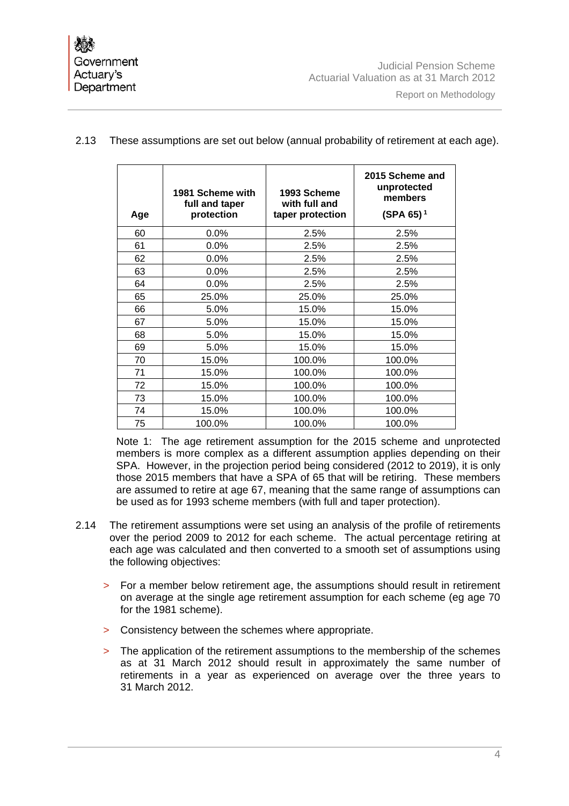| Age | 1981 Scheme with<br>full and taper<br>protection | 1993 Scheme<br>with full and<br>taper protection | 2015 Scheme and<br>unprotected<br>members<br>$(SPA 65)^1$ |
|-----|--------------------------------------------------|--------------------------------------------------|-----------------------------------------------------------|
| 60  | 0.0%                                             | 2.5%                                             | 2.5%                                                      |
| 61  | 0.0%                                             | 2.5%                                             | 2.5%                                                      |
| 62  | 0.0%                                             | 2.5%                                             | 2.5%                                                      |
| 63  | 0.0%                                             | 2.5%                                             | 2.5%                                                      |
| 64  | 0.0%                                             | 2.5%                                             | 2.5%                                                      |
| 65  | 25.0%                                            | 25.0%                                            | 25.0%                                                     |
| 66  | 5.0%                                             | 15.0%                                            | 15.0%                                                     |
| 67  | 5.0%                                             | 15.0%                                            | 15.0%                                                     |
| 68  | 5.0%                                             | 15.0%                                            | 15.0%                                                     |
| 69  | 5.0%                                             | 15.0%                                            | 15.0%                                                     |
| 70  | 15.0%                                            | 100.0%                                           | 100.0%                                                    |
| 71  | 15.0%                                            | 100.0%                                           | 100.0%                                                    |
| 72  | 15.0%                                            | 100.0%                                           | 100.0%                                                    |
| 73  | 15.0%                                            | 100.0%                                           | 100.0%                                                    |
| 74  | 15.0%                                            | 100.0%                                           | 100.0%                                                    |
| 75  | 100.0%                                           | 100.0%                                           | 100.0%                                                    |

## 2.13 These assumptions are set out below (annual probability of retirement at each age).

Note 1: The age retirement assumption for the 2015 scheme and unprotected members is more complex as a different assumption applies depending on their SPA. However, in the projection period being considered (2012 to 2019), it is only those 2015 members that have a SPA of 65 that will be retiring. These members are assumed to retire at age 67, meaning that the same range of assumptions can be used as for 1993 scheme members (with full and taper protection).

- 2.14 The retirement assumptions were set using an analysis of the profile of retirements over the period 2009 to 2012 for each scheme. The actual percentage retiring at each age was calculated and then converted to a smooth set of assumptions using the following objectives:
	- > For a member below retirement age, the assumptions should result in retirement on average at the single age retirement assumption for each scheme (eg age 70 for the 1981 scheme).
	- > Consistency between the schemes where appropriate.
	- > The application of the retirement assumptions to the membership of the schemes as at 31 March 2012 should result in approximately the same number of retirements in a year as experienced on average over the three years to 31 March 2012.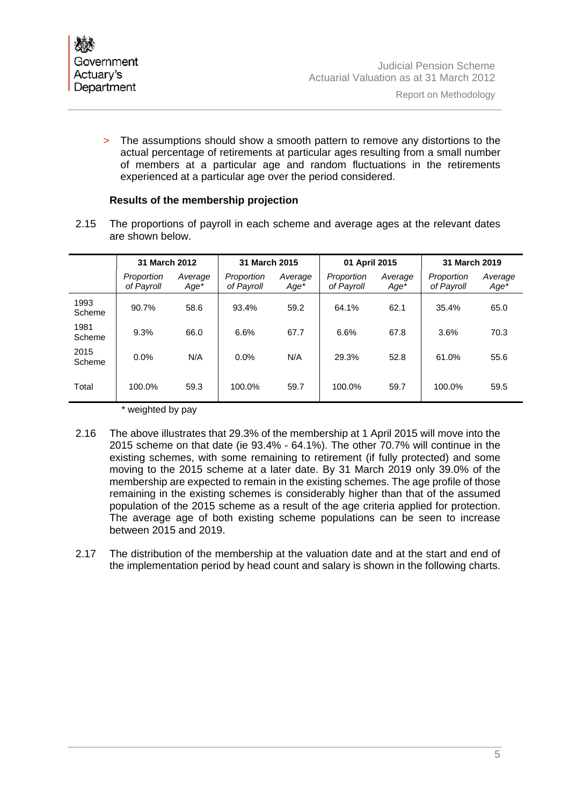> The assumptions should show a smooth pattern to remove any distortions to the actual percentage of retirements at particular ages resulting from a small number of members at a particular age and random fluctuations in the retirements experienced at a particular age over the period considered.

#### **Results of the membership projection**

2.15 The proportions of payroll in each scheme and average ages at the relevant dates are shown below.

|                | 31 March 2012            |                 | 31 March 2015            |                 | 01 April 2015            |                   | 31 March 2019            |                   |
|----------------|--------------------------|-----------------|--------------------------|-----------------|--------------------------|-------------------|--------------------------|-------------------|
|                | Proportion<br>of Payroll | Average<br>Age* | Proportion<br>of Payroll | Average<br>Age* | Proportion<br>of Payroll | Average<br>$Age*$ | Proportion<br>of Payroll | Average<br>$Age*$ |
| 1993<br>Scheme | 90.7%                    | 58.6            | 93.4%                    | 59.2            | 64.1%                    | 62.1              | 35.4%                    | 65.0              |
| 1981<br>Scheme | 9.3%                     | 66.0            | 6.6%                     | 67.7            | 6.6%                     | 67.8              | 3.6%                     | 70.3              |
| 2015<br>Scheme | 0.0%                     | N/A             | 0.0%                     | N/A             | 29.3%                    | 52.8              | 61.0%                    | 55.6              |
| Total          | 100.0%                   | 59.3            | 100.0%                   | 59.7            | 100.0%                   | 59.7              | 100.0%                   | 59.5              |

\* weighted by pay

- 2.16 The above illustrates that 29.3% of the membership at 1 April 2015 will move into the 2015 scheme on that date (ie 93.4% - 64.1%). The other 70.7% will continue in the existing schemes, with some remaining to retirement (if fully protected) and some moving to the 2015 scheme at a later date. By 31 March 2019 only 39.0% of the membership are expected to remain in the existing schemes. The age profile of those remaining in the existing schemes is considerably higher than that of the assumed population of the 2015 scheme as a result of the age criteria applied for protection. The average age of both existing scheme populations can be seen to increase between 2015 and 2019.
- 2.17 The distribution of the membership at the valuation date and at the start and end of the implementation period by head count and salary is shown in the following charts.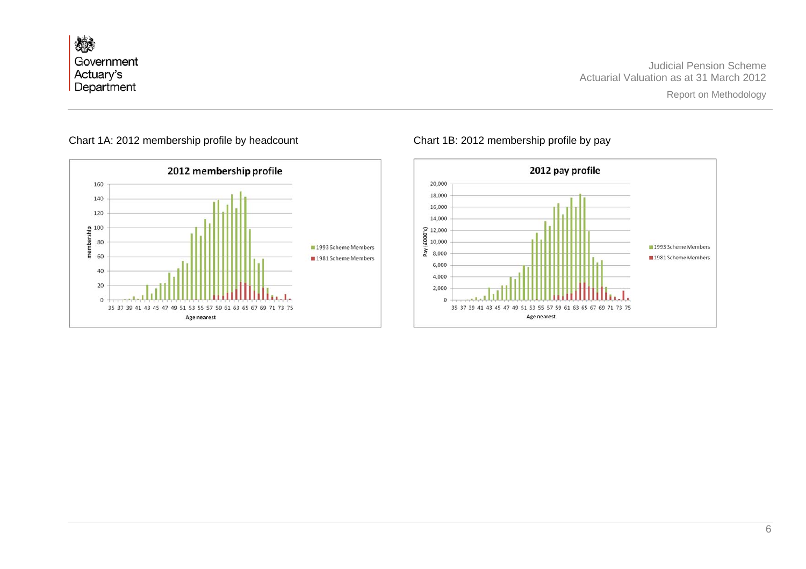燃 Government Actuary's Department

Judicial Pension Scheme Actuarial Valuation as at 31 March 2012



### Chart 1A: 2012 membership profile by headcount Chart 1B: 2012 membership profile by pay

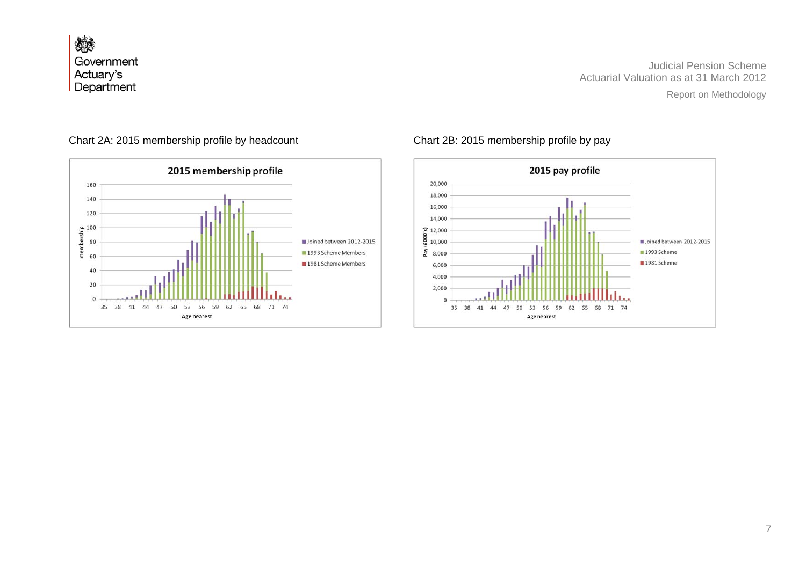燃 Government Actuary's<br>Department

Judicial Pension Scheme Actuarial Valuation as at 31 March 2012



#### Chart 2A: 2015 membership profile by headcount Chart 2B: 2015 membership profile by pay

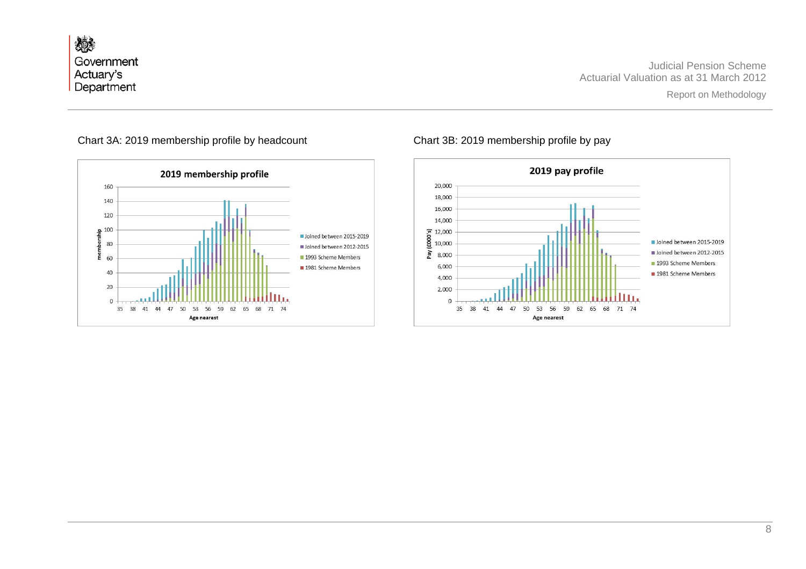燃 Government Actuary's Department

Judicial Pension Scheme Actuarial Valuation as at 31 March 2012



## Chart 3A: 2019 membership profile by headcount Chart 3B: 2019 membership profile by pay

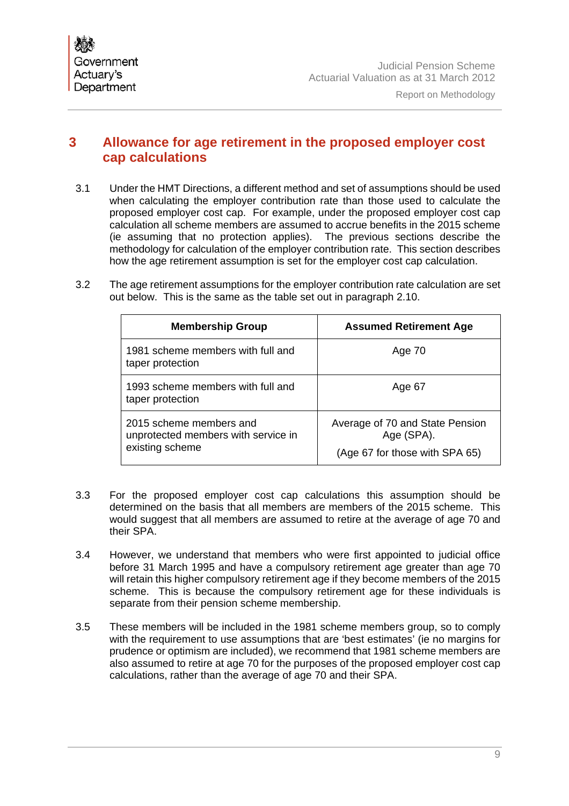

# **3 Allowance for age retirement in the proposed employer cost cap calculations**

3.1 Under the HMT Directions, a different method and set of assumptions should be used when calculating the employer contribution rate than those used to calculate the proposed employer cost cap. For example, under the proposed employer cost cap calculation all scheme members are assumed to accrue benefits in the 2015 scheme (ie assuming that no protection applies). The previous sections describe the methodology for calculation of the employer contribution rate. This section describes how the age retirement assumption is set for the employer cost cap calculation.

| 3.2 | The age retirement assumptions for the employer contribution rate calculation are set |
|-----|---------------------------------------------------------------------------------------|
|     | out below. This is the same as the table set out in paragraph 2.10.                   |

| <b>Membership Group</b>                                                           | <b>Assumed Retirement Age</b>                                                   |
|-----------------------------------------------------------------------------------|---------------------------------------------------------------------------------|
| 1981 scheme members with full and<br>taper protection                             | Age 70                                                                          |
| 1993 scheme members with full and<br>taper protection                             | Age 67                                                                          |
| 2015 scheme members and<br>unprotected members with service in<br>existing scheme | Average of 70 and State Pension<br>Age (SPA).<br>(Age 67 for those with SPA 65) |

- 3.3 For the proposed employer cost cap calculations this assumption should be determined on the basis that all members are members of the 2015 scheme. This would suggest that all members are assumed to retire at the average of age 70 and their SPA.
- 3.4 However, we understand that members who were first appointed to judicial office before 31 March 1995 and have a compulsory retirement age greater than age 70 will retain this higher compulsory retirement age if they become members of the 2015 scheme. This is because the compulsory retirement age for these individuals is separate from their pension scheme membership.
- 3.5 These members will be included in the 1981 scheme members group, so to comply with the requirement to use assumptions that are 'best estimates' (ie no margins for prudence or optimism are included), we recommend that 1981 scheme members are also assumed to retire at age 70 for the purposes of the proposed employer cost cap calculations, rather than the average of age 70 and their SPA.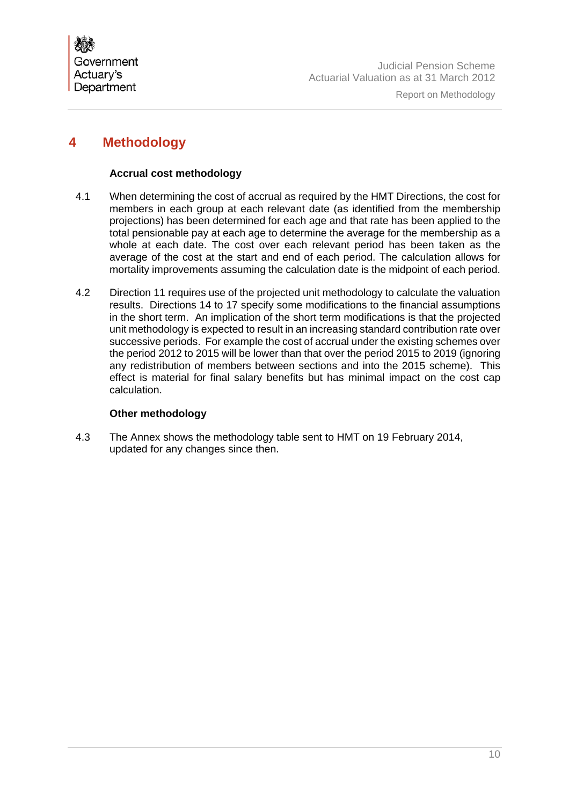

# **4 Methodology**

#### **Accrual cost methodology**

- 4.1 When determining the cost of accrual as required by the HMT Directions, the cost for members in each group at each relevant date (as identified from the membership projections) has been determined for each age and that rate has been applied to the total pensionable pay at each age to determine the average for the membership as a whole at each date. The cost over each relevant period has been taken as the average of the cost at the start and end of each period. The calculation allows for mortality improvements assuming the calculation date is the midpoint of each period.
- 4.2 Direction 11 requires use of the projected unit methodology to calculate the valuation results. Directions 14 to 17 specify some modifications to the financial assumptions in the short term. An implication of the short term modifications is that the projected unit methodology is expected to result in an increasing standard contribution rate over successive periods. For example the cost of accrual under the existing schemes over the period 2012 to 2015 will be lower than that over the period 2015 to 2019 (ignoring any redistribution of members between sections and into the 2015 scheme). This effect is material for final salary benefits but has minimal impact on the cost cap calculation.

#### **Other methodology**

4.3 The Annex shows the methodology table sent to HMT on 19 February 2014, updated for any changes since then.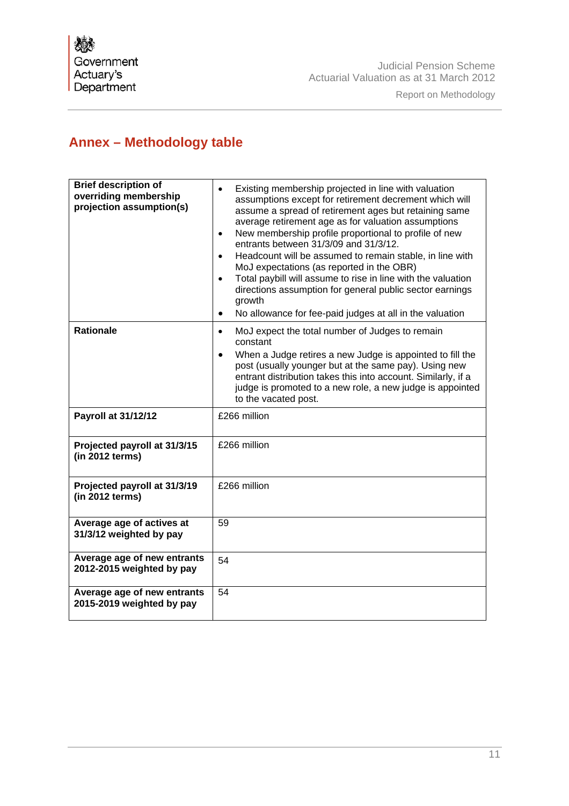# **Annex – Methodology table**

| <b>Brief description of</b><br>overriding membership<br>projection assumption(s) | Existing membership projected in line with valuation<br>$\bullet$<br>assumptions except for retirement decrement which will<br>assume a spread of retirement ages but retaining same<br>average retirement age as for valuation assumptions<br>New membership profile proportional to profile of new<br>$\bullet$<br>entrants between 31/3/09 and 31/3/12.<br>Headcount will be assumed to remain stable, in line with<br>$\bullet$<br>MoJ expectations (as reported in the OBR)<br>Total paybill will assume to rise in line with the valuation<br>$\bullet$<br>directions assumption for general public sector earnings<br>growth<br>No allowance for fee-paid judges at all in the valuation<br>٠ |  |
|----------------------------------------------------------------------------------|------------------------------------------------------------------------------------------------------------------------------------------------------------------------------------------------------------------------------------------------------------------------------------------------------------------------------------------------------------------------------------------------------------------------------------------------------------------------------------------------------------------------------------------------------------------------------------------------------------------------------------------------------------------------------------------------------|--|
| <b>Rationale</b>                                                                 | MoJ expect the total number of Judges to remain<br>$\bullet$<br>constant<br>When a Judge retires a new Judge is appointed to fill the<br>$\bullet$<br>post (usually younger but at the same pay). Using new<br>entrant distribution takes this into account. Similarly, if a<br>judge is promoted to a new role, a new judge is appointed<br>to the vacated post.                                                                                                                                                                                                                                                                                                                                    |  |
| Payroll at 31/12/12                                                              | £266 million                                                                                                                                                                                                                                                                                                                                                                                                                                                                                                                                                                                                                                                                                         |  |
| Projected payroll at 31/3/15<br>(in 2012 terms)                                  | £266 million                                                                                                                                                                                                                                                                                                                                                                                                                                                                                                                                                                                                                                                                                         |  |
| Projected payroll at 31/3/19<br>(in 2012 terms)                                  | £266 million                                                                                                                                                                                                                                                                                                                                                                                                                                                                                                                                                                                                                                                                                         |  |
| Average age of actives at<br>31/3/12 weighted by pay                             | 59                                                                                                                                                                                                                                                                                                                                                                                                                                                                                                                                                                                                                                                                                                   |  |
| Average age of new entrants<br>2012-2015 weighted by pay                         | 54                                                                                                                                                                                                                                                                                                                                                                                                                                                                                                                                                                                                                                                                                                   |  |
| Average age of new entrants<br>2015-2019 weighted by pay                         | 54                                                                                                                                                                                                                                                                                                                                                                                                                                                                                                                                                                                                                                                                                                   |  |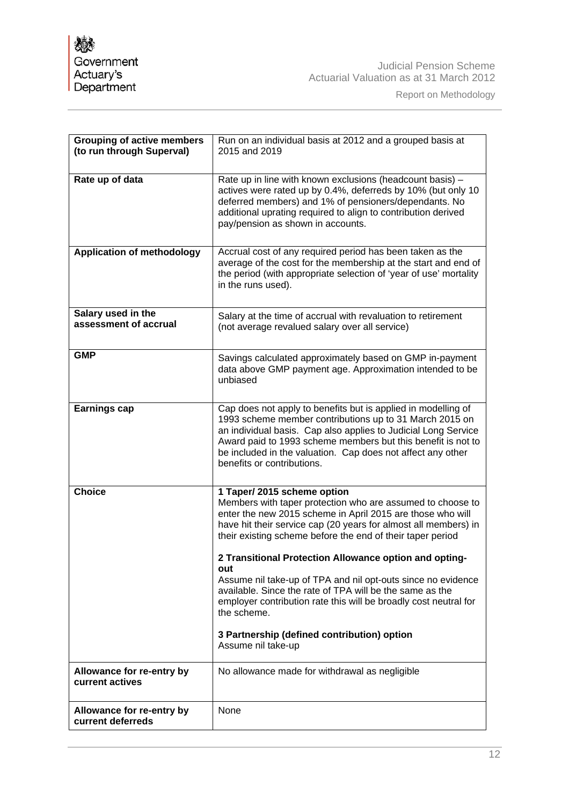I

| <b>Grouping of active members</b><br>(to run through Superval) | Run on an individual basis at 2012 and a grouped basis at<br>2015 and 2019                                                                                                                                                                                                                                                                                                                                                                                                                                                                                                                                                                    |
|----------------------------------------------------------------|-----------------------------------------------------------------------------------------------------------------------------------------------------------------------------------------------------------------------------------------------------------------------------------------------------------------------------------------------------------------------------------------------------------------------------------------------------------------------------------------------------------------------------------------------------------------------------------------------------------------------------------------------|
| Rate up of data                                                | Rate up in line with known exclusions (headcount basis) -<br>actives were rated up by 0.4%, deferreds by 10% (but only 10<br>deferred members) and 1% of pensioners/dependants. No<br>additional uprating required to align to contribution derived<br>pay/pension as shown in accounts.                                                                                                                                                                                                                                                                                                                                                      |
| <b>Application of methodology</b>                              | Accrual cost of any required period has been taken as the<br>average of the cost for the membership at the start and end of<br>the period (with appropriate selection of 'year of use' mortality<br>in the runs used).                                                                                                                                                                                                                                                                                                                                                                                                                        |
| Salary used in the<br>assessment of accrual                    | Salary at the time of accrual with revaluation to retirement<br>(not average revalued salary over all service)                                                                                                                                                                                                                                                                                                                                                                                                                                                                                                                                |
| <b>GMP</b>                                                     | Savings calculated approximately based on GMP in-payment<br>data above GMP payment age. Approximation intended to be<br>unbiased                                                                                                                                                                                                                                                                                                                                                                                                                                                                                                              |
| <b>Earnings cap</b>                                            | Cap does not apply to benefits but is applied in modelling of<br>1993 scheme member contributions up to 31 March 2015 on<br>an individual basis. Cap also applies to Judicial Long Service<br>Award paid to 1993 scheme members but this benefit is not to<br>be included in the valuation. Cap does not affect any other<br>benefits or contributions.                                                                                                                                                                                                                                                                                       |
| <b>Choice</b>                                                  | 1 Taper/ 2015 scheme option<br>Members with taper protection who are assumed to choose to<br>enter the new 2015 scheme in April 2015 are those who will<br>have hit their service cap (20 years for almost all members) in<br>their existing scheme before the end of their taper period<br>2 Transitional Protection Allowance option and opting-<br>out<br>Assume nil take-up of TPA and nil opt-outs since no evidence<br>available. Since the rate of TPA will be the same as the<br>employer contribution rate this will be broadly cost neutral for<br>the scheme.<br>3 Partnership (defined contribution) option<br>Assume nil take-up |
| Allowance for re-entry by<br>current actives                   | No allowance made for withdrawal as negligible                                                                                                                                                                                                                                                                                                                                                                                                                                                                                                                                                                                                |
| Allowance for re-entry by<br>current deferreds                 | None                                                                                                                                                                                                                                                                                                                                                                                                                                                                                                                                                                                                                                          |